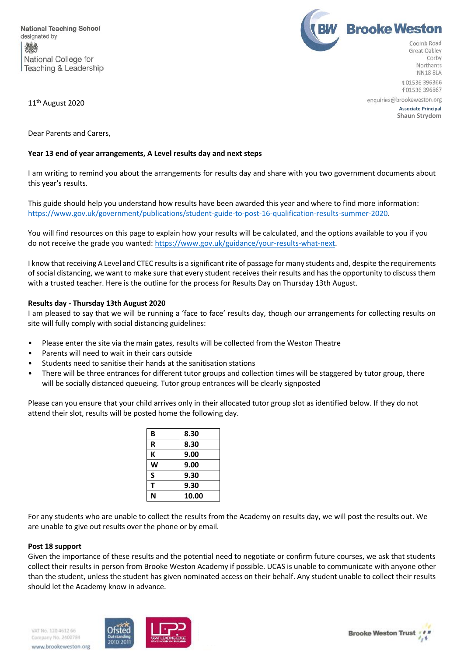



11<sup>th</sup> August 2020

**NN18 8LA** t 01536 396366 f 01536 396867

enquiries@brookeweston.org **Associate Principal Shaun Strydom**

Dear Parents and Carers,

## **Year 13 end of year arrangements, A Level results day and next steps**

I am writing to remind you about the arrangements for results day and share with you two government documents about this year's results.

This guide should help you understand how results have been awarded this year and where to find more information: [https://www.gov.uk/government/publications/student-guide-to-post-16-qualification-results-summer-2020.](https://www.gov.uk/government/publications/student-guide-to-post-16-qualification-results-summer-2020)

You will find resources on this page to explain how your results will be calculated, and the options available to you if you do not receive the grade you wanted[: https://www.gov.uk/guidance/your-results-what-next.](https://www.gov.uk/guidance/your-results-what-next)

I know that receiving A Level and CTEC results is a significant rite of passage for many students and, despite the requirements of social distancing, we want to make sure that every student receives their results and has the opportunity to discuss them with a trusted teacher. Here is the outline for the process for Results Day on Thursday 13th August.

## **Results day - Thursday 13th August 2020**

I am pleased to say that we will be running a 'face to face' results day, though our arrangements for collecting results on site will fully comply with social distancing guidelines:

- Please enter the site via the main gates, results will be collected from the Weston Theatre
- Parents will need to wait in their cars outside
- Students need to sanitise their hands at the sanitisation stations
- There will be three entrances for different tutor groups and collection times will be staggered by tutor group, there will be socially distanced queueing. Tutor group entrances will be clearly signposted

Please can you ensure that your child arrives only in their allocated tutor group slot as identified below. If they do not attend their slot, results will be posted home the following day.

| B | 8.30  |
|---|-------|
| R | 8.30  |
| K | 9.00  |
| W | 9.00  |
| S | 9.30  |
| т | 9.30  |
| N | 10.00 |

For any students who are unable to collect the results from the Academy on results day, we will post the results out. We are unable to give out results over the phone or by email.

## **Post 18 support**

Given the importance of these results and the potential need to negotiate or confirm future courses, we ask that students collect their results in person from Brooke Weston Academy if possible. UCAS is unable to communicate with anyone other than the student, unless the student has given nominated access on their behalf. Any student unable to collect their results should let the Academy know in advance.